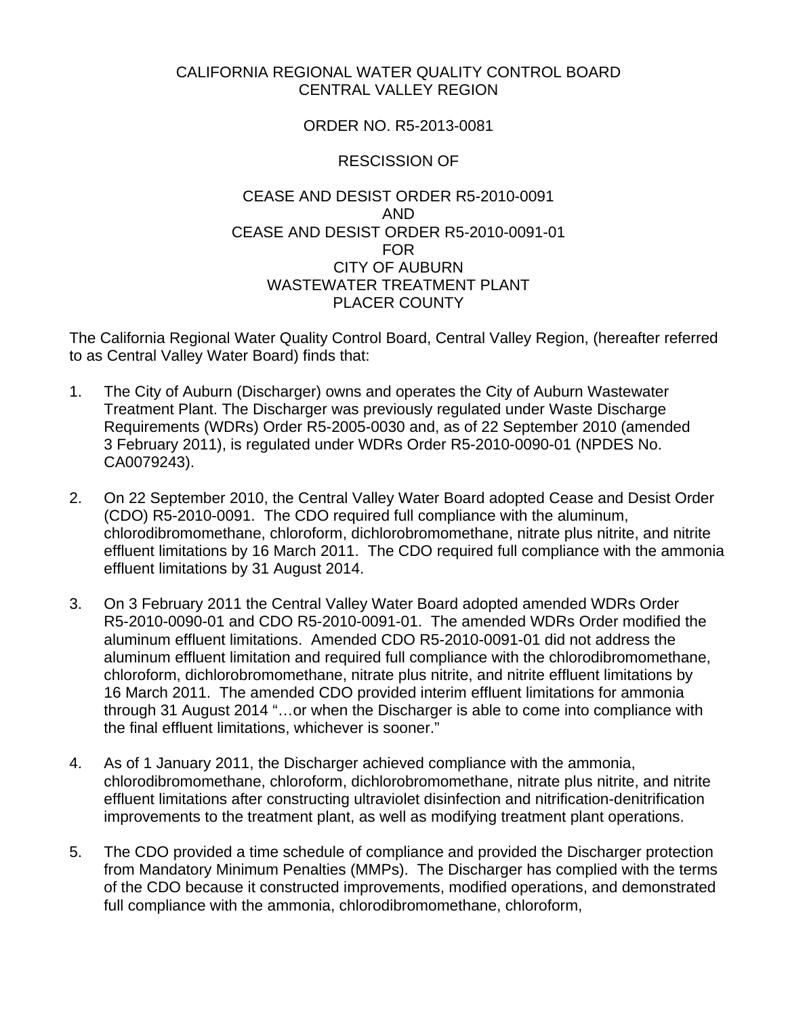## CALIFORNIA REGIONAL WATER QUALITY CONTROL BOARD CENTRAL VALLEY REGION

## ORDER NO. R5-2013-0081

## RESCISSION OF

## CEASE AND DESIST ORDER R5-2010-0091 AND CEASE AND DESIST ORDER R5-2010-0091-01 FOR CITY OF AUBURN WASTEWATER TREATMENT PLANT PLACER COUNTY

The California Regional Water Quality Control Board, Central Valley Region, (hereafter referred to as Central Valley Water Board) finds that:

- 1. The City of Auburn (Discharger) owns and operates the City of Auburn Wastewater Treatment Plant. The Discharger was previously regulated under Waste Discharge Requirements (WDRs) Order R5-2005-0030 and, as of 22 September 2010 (amended 3 February 2011), is regulated under WDRs Order R5-2010-0090-01 (NPDES No. CA0079243).
- 2. On 22 September 2010, the Central Valley Water Board adopted Cease and Desist Order (CDO) R5-2010-0091. The CDO required full compliance with the aluminum, chlorodibromomethane, chloroform, dichlorobromomethane, nitrate plus nitrite, and nitrite effluent limitations by 16 March 2011. The CDO required full compliance with the ammonia effluent limitations by 31 August 2014.
- 3. On 3 February 2011 the Central Valley Water Board adopted amended WDRs Order R5-2010-0090-01 and CDO R5-2010-0091-01. The amended WDRs Order modified the aluminum effluent limitations. Amended CDO R5-2010-0091-01 did not address the aluminum effluent limitation and required full compliance with the chlorodibromomethane, chloroform, dichlorobromomethane, nitrate plus nitrite, and nitrite effluent limitations by 16 March 2011. The amended CDO provided interim effluent limitations for ammonia through 31 August 2014 "…or when the Discharger is able to come into compliance with the final effluent limitations, whichever is sooner."
- 4. As of 1 January 2011, the Discharger achieved compliance with the ammonia, chlorodibromomethane, chloroform, dichlorobromomethane, nitrate plus nitrite, and nitrite effluent limitations after constructing ultraviolet disinfection and nitrification-denitrification improvements to the treatment plant, as well as modifying treatment plant operations.
- 5. The CDO provided a time schedule of compliance and provided the Discharger protection from Mandatory Minimum Penalties (MMPs). The Discharger has complied with the terms of the CDO because it constructed improvements, modified operations, and demonstrated full compliance with the ammonia, chlorodibromomethane, chloroform,